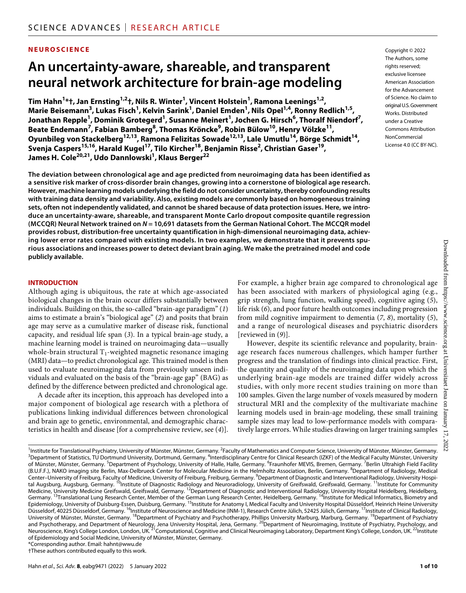#### **NEUROSCIENCE**

# **An uncertainty-aware, shareable, and transparent neural network architecture for brain-age modeling**

 $\text{Tim Hahn}^{1*}\texttt{t}$ , Jan Ernsting<sup>1,2</sup> t, Nils R. Winter<sup>1</sup>, Vincent Holstein<sup>1</sup>, Ramona Leenings<sup>1,2</sup>, Marie Beisemann<sup>3</sup>, Lukas Fisch<sup>1</sup>, Kelvin Sarink<sup>1</sup>, Daniel Emden<sup>1</sup>, Nils Opel<sup>1,4</sup>, Ronny Redlich<sup>1,5</sup>, **Jonathan Repple<sup>1</sup> , Dominik Grotegerd1 , Susanne Meinert1 , Jochen G. Hirsch6 , Thoralf Niendorf7 , Beate Endemann7 , Fabian Bamberg8 , Thomas Kröncke9 , Robin Bülow10, Henry Völzke11, Oyunbileg von Stackelberg12,13, Ramona Felizitas Sowade12,13, Lale Umutlu14, Börge Schmidt14, Svenja Caspers15,16, Harald Kugel17, Tilo Kircher18, Benjamin Risse2 , Christian Gaser19, James H. Cole20,21, Udo Dannlowski1 , Klaus Berger22**

**The deviation between chronological age and age predicted from neuroimaging data has been identified as a sensitive risk marker of cross-disorder brain changes, growing into a cornerstone of biological age research. However, machine learning models underlying the field do not consider uncertainty, thereby confounding results with training data density and variability. Also, existing models are commonly based on homogeneous training sets, often not independently validated, and cannot be shared because of data protection issues. Here, we introduce an uncertainty-aware, shareable, and transparent Monte Carlo dropout composite quantile regression (MCCQR) Neural Network trained on** *N* **= 10,691 datasets from the German National Cohort. The MCCQR model provides robust, distribution-free uncertainty quantification in high-dimensional neuroimaging data, achieving lower error rates compared with existing models. In two examples, we demonstrate that it prevents spurious associations and increases power to detect deviant brain aging. We make the pretrained model and code publicly available.**

#### **INTRODUCTION**

Although aging is ubiquitous, the rate at which age-associated biological changes in the brain occur differs substantially between individuals. Building on this, the so-called "brain-age paradigm" (*1*) aims to estimate a brain's "biological age" (*2*) and posits that brain age may serve as a cumulative marker of disease risk, functional capacity, and residual life span (*3*). In a typical brain-age study, a machine learning model is trained on neuroimaging data—usually whole-brain structural  $T_1$ -weighted magnetic resonance imaging (MRI) data—to predict chronological age. This trained model is then used to evaluate neuroimaging data from previously unseen individuals and evaluated on the basis of the "brain-age gap" (BAG) as defined by the difference between predicted and chronological age.

A decade after its inception, this approach has developed into a major component of biological age research with a plethora of publications linking individual differences between chronological and brain age to genetic, environmental, and demographic characteristics in health and disease [for a comprehensive review, see (*4*)].

For example, a higher brain age compared to chronological age has been associated with markers of physiological aging (e.g., grip strength, lung function, walking speed), cognitive aging (*5*), life risk (*6*), and poor future health outcomes including progression from mild cognitive impairment to dementia (*7*, *8*), mortality (*5*), and a range of neurological diseases and psychiatric disorders [reviewed in (*9*)].

However, despite its scientific relevance and popularity, brainage research faces numerous challenges, which hamper further progress and the translation of findings into clinical practice. First, the quantity and quality of the neuroimaging data upon which the underlying brain-age models are trained differ widely across studies, with only more recent studies training on more than 100 samples. Given the large number of voxels measured by modern structural MRI and the complexity of the multivariate machine learning models used in brain-age modeling, these small training sample sizes may lead to low-performance models with comparatively large errors. While studies drawing on larger training samples

The Authors, some rights reserved: exclusive licensee American Association for the Advancement of Science. No claim to original U.S.Government Works. Distributed under a Creative Commons Attribution **NonCommercial** License 4.0 (CC BY-NC).

Copyright © 2022

<sup>1</sup> Institute for Translational Psychiatry, University of Münster, Münster, Germany.<sup>2</sup> 'Institute for Translational Psychiatry, University of Münster, Münster, Germany. 'Faculty of Mahhematics and Computer Science, University of Münster, Münster, Germany.<br><sup>3</sup>Department of Statistics, TU Dortmund University, of Münster, Münster, Germany. <sup>5</sup>Department of Psychology, University of Halle, Halle, Germany. <sup>6</sup>Fraunhofer MEVIS, Bremen, Germany. <sup>7</sup>Berlin Ultrahigh Field Facility (B.U.F.F.), NAKO imaging site Berlin, Max-Delbrueck Center for Molecular Medicine in the Helmholtz Association, Berlin, Germany.  $^8$ Department of Radiology, Medical Center-University of Freiburg, Faculty of Medicine, University of Freiburg, Freiburg, Germany. <sup>9</sup>Department of Diagnostic and Interventional Radiology, University Hospital Augsburg, Augsburg, Germany. <sup>10</sup>Institute of Diagnostic Radiology and Neuroradiology, University of Greifswald, Greifswald, Germany. <sup>11</sup>Institute for Community Medicine, University Medicine Greifswald, Greifswald, Germany. <sup>12</sup>Department of Diagnostic and Interventional Radiology, University Hospital Heidelberg, Heidelberg, Heidelberg, Germany. <sup>13</sup>Translational Lung Research Center, Member of the German Lung Research Center, Heidelberg, Germany. <sup>14</sup>Institute for Medical Informatics, Biometry and Epidemiology, University of Duisburg-Essen, Duisburg, Germany. <sup>15</sup>Institute for Anatomy I, Medical Faculty and University Hospital Düsseldorf, Heinrich Heine University Düsseldorf, 40225 Düsseldorf, Germany. <sup>16</sup>Institute of Neuroscience and Medicine (INM-1), Research Centre Jülich, 52425 Jülich, Germany. <sup>17</sup>Institute of Clinical Radiology, University of Münster, Münster, Germany. <sup>18</sup>Department of Psychiatry and Psychotherapy, Phillips University Marburg, Marburg, Germany. <sup>19</sup>Department of Psychiatry and Psychotherapy, and Department of Neurology, Jena University Hospital, Jena, Germany. <sup>20</sup>Department of Neuroimaging, Institute of Psychiatry, Psychology, and Neuroscience, King's College London, London, UK. <sup>21</sup>Computational, Cognitive and Clinical Neuroimaging Laboratory, Department King's College, London, UK. <sup>22</sup>Institute of Epidemiology and Social Medicine, University of Münster, Münster, Germany. \*Corresponding author. Email: [hahnt@wwu.de](mailto:hahnt@wwu.de)

†These authors contributed equally to this work.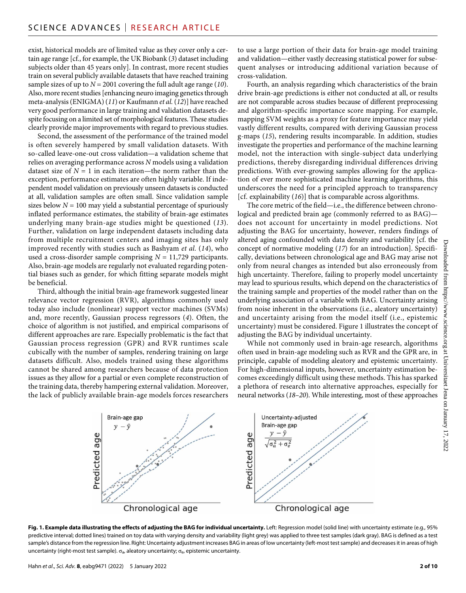exist, historical models are of limited value as they cover only a certain age range [cf., for example, the UK Biobank (*3*) dataset including subjects older than 45 years only]. In contrast, more recent studies train on several publicly available datasets that have reached training sample sizes of up to *N* = 2001 covering the full adult age range (*10*). Also, more recent studies [enhancing neuro imaging genetics through meta-analysis (ENIGMA) (*11*) or Kaufmann *et al.* (*12*)] have reached very good performance in large training and validation datasets despite focusing on a limited set of morphological features. These studies clearly provide major improvements with regard to previous studies.

Second, the assessment of the performance of the trained model is often severely hampered by small validation datasets. With so-called leave-one-out cross validation—a validation scheme that relies on averaging performance across *N* models using a validation dataset size of  $N = 1$  in each iteration—the norm rather than the exception, performance estimates are often highly variable. If independent model validation on previously unseen datasets is conducted at all, validation samples are often small. Since validation sample sizes below  $N = 100$  may yield a substantial percentage of spuriously inflated performance estimates, the stability of brain-age estimates underlying many brain-age studies might be questioned (*13*). Further, validation on large independent datasets including data from multiple recruitment centers and imaging sites has only improved recently with studies such as Bashyam *et al.* (*14*), who used a cross-disorder sample comprising  $N = 11,729$  participants. Also, brain-age models are regularly not evaluated regarding potential biases such as gender, for which fitting separate models might be beneficial.

Third, although the initial brain-age framework suggested linear relevance vector regression (RVR), algorithms commonly used today also include (nonlinear) support vector machines (SVMs) and, more recently, Gaussian process regressors (*4*). Often, the choice of algorithm is not justified, and empirical comparisons of different approaches are rare. Especially problematic is the fact that Gaussian process regression (GPR) and RVR runtimes scale cubically with the number of samples, rendering training on large datasets difficult. Also, models trained using these algorithms cannot be shared among researchers because of data protection issues as they allow for a partial or even complete reconstruction of the training data, thereby hampering external validation. Moreover, the lack of publicly available brain-age models forces researchers

to use a large portion of their data for brain-age model training and validation—either vastly decreasing statistical power for subsequent analyses or introducing additional variation because of cross-validation.

Fourth, an analysis regarding which characteristics of the brain drive brain-age predictions is either not conducted at all, or results are not comparable across studies because of different preprocessing and algorithm-specific importance score mapping. For example, mapping SVM weights as a proxy for feature importance may yield vastly different results, compared with deriving Gaussian process g-maps (*15*), rendering results incomparable. In addition, studies investigate the properties and performance of the machine learning model, not the interaction with single-subject data underlying predictions, thereby disregarding individual differences driving predictions. With ever-growing samples allowing for the application of ever more sophisticated machine learning algorithms, this underscores the need for a principled approach to transparency [cf. explainability (*16*)] that is comparable across algorithms.

The core metric of the field—i.e., the difference between chronological and predicted brain age (commonly referred to as BAG) does not account for uncertainty in model predictions. Not adjusting the BAG for uncertainty, however, renders findings of altered aging confounded with data density and variability [cf. the concept of normative modeling (*17*) for an introduction]. Specifically, deviations between chronological age and BAG may arise not only from neural changes as intended but also erroneously from high uncertainty. Therefore, failing to properly model uncertainty may lead to spurious results, which depend on the characteristics of the training sample and properties of the model rather than on the underlying association of a variable with BAG. Uncertainty arising from noise inherent in the observations (i.e., aleatory uncertainty) and uncertainty arising from the model itself (i.e., epistemic uncertainty) must be considered. Figure 1 illustrates the concept of adjusting the BAG by individual uncertainty.

While not commonly used in brain-age research, algorithms often used in brain-age modeling such as RVR and the GPR are, in principle, capable of modeling aleatory and epistemic uncertainty. For high-dimensional inputs, however, uncertainty estimation becomes exceedingly difficult using these methods. This has sparked a plethora of research into alternative approaches, especially for neural networks (*18*–*20*). While interesting, most of these approaches



**Fig. 1. Example data illustrating the effects of adjusting the BAG for individual uncertainty.** Left: Regression model (solid line) with uncertainty estimate (e.g., 95% predictive interval; dotted lines) trained on toy data with varying density and variability (light grey) was applied to three test samples (dark gray). BAG is defined as a test sample's distance from the regression line. Right: Uncertainty adjustment increases BAG in areas of low uncertainty (left-most test sample) and decreases it in areas of high uncertainty (right-most test sample).  $\sigma_{a}$ , aleatory uncertainty;  $\sigma_{e}$ , epistemic uncertainty.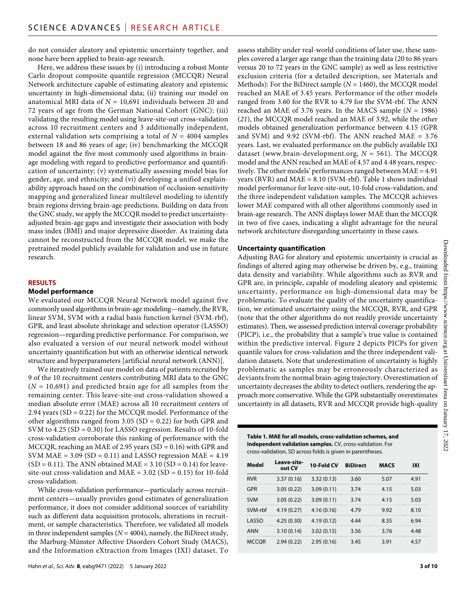do not consider aleatory and epistemic uncertainty together, and none have been applied to brain-age research.

Here, we address these issues by (i) introducing a robust Monte Carlo dropout composite quantile regression (MCCQR) Neural Network architecture capable of estimating aleatory and epistemic uncertainty in high-dimensional data; (ii) training our model on anatomical MRI data of *N* = 10,691 individuals between 20 and 72 years of age from the German National Cohort (GNC); (iii) validating the resulting model using leave-site-out cross-validation across 10 recruitment centers and 3 additionally independent, external validation sets comprising a total of  $N = 4004$  samples between 18 and 86 years of age; (iv) benchmarking the MCCQR model against the five most commonly used algorithms in brainage modeling with regard to predictive performance and quantification of uncertainty; (v) systematically assessing model bias for gender, age, and ethnicity; and (vi) developing a unified explainability approach based on the combination of occlusion-sensitivity mapping and generalized linear multilevel modeling to identify brain regions driving brain-age predictions. Building on data from the GNC study, we apply the MCCQR model to predict uncertaintyadjusted brain-age gaps and investigate their association with body mass index (BMI) and major depressive disorder. As training data cannot be reconstructed from the MCCQR model, we make the pretrained model publicly available for validation and use in future research.

#### **RESULTS**

#### **Model performance**

We evaluated our MCCQR Neural Network model against five commonly used algorithms in brain-age modeling—namely, the RVR, linear SVM, SVM with a radial basis function kernel (SVM-rbf), GPR, and least absolute shrinkage and selection operator (LASSO) regression—regarding predictive performance. For comparison, we also evaluated a version of our neural network model without uncertainty quantification but with an otherwise identical network structure and hyperparameters [artificial neural network (ANN)].

We iteratively trained our model on data of patients recruited by 9 of the 10 recruitment centers contributing MRI data to the GNC  $(N = 10,691)$  and predicted brain age for all samples from the remaining center. This leave-site-out cross-validation showed a median absolute error (MAE) across all 10 recruitment centers of 2.94 years (SD = 0.22) for the MCCQR model. Performance of the other algorithms ranged from 3.05 ( $SD = 0.22$ ) for both GPR and SVM to 4.25 (SD = 0.30) for LASSO regression. Results of 10-fold cross-validation corroborate this ranking of performance with the MCCQR, reaching an MAE of 2.95 years (SD = 0.16) with GPR and SVM MAE =  $3.09$  (SD = 0.11) and LASSO regression MAE =  $4.19$  $(SD = 0.11)$ . The ANN obtained MAE = 3.10  $(SD = 0.14)$  for leavesite-out cross-validation and  $MAE = 3.02$  (SD = 0.15) for 10-fold cross-validation.

While cross-validation performance—particularly across recruitment centers—usually provides good estimates of generalization performance, it does not consider additional sources of variability such as different data acquisition protocols, alterations in recruitment, or sample characteristics. Therefore, we validated all models in three independent samples ( $N = 4004$ ), namely, the BiDirect study, the Marburg-Münster Affective Disorders Cohort Study (MACS), and the Information eXtraction from Images (IXI) dataset. To

assess stability under real-world conditions of later use, these samples covered a larger age range than the training data (20 to 86 years versus 20 to 72 years in the GNC sample) as well as less restrictive exclusion criteria (for a detailed description, see Materials and Methods): For the BiDirect sample (*N* = 1460), the MCCQR model reached an MAE of 3.45 years. Performance of the other models ranged from 3.60 for the RVR to 4.79 for the SVM-rbf. The ANN reached an MAE of 3.76 years. In the MACS sample  $(N = 1986)$ (*21*), the MCCQR model reached an MAE of 3.92, while the other models obtained generalization performance between 4.15 (GPR and SVM) and 9.92 (SVM-rbf). The ANN reached MAE  $= 3.76$ years. Last, we evaluated performance on the publicly available IXI dataset [\(www.brain-development.org,](http://www.brain-development.org) *N* = 561). The MCCQR model and the ANN reached an MAE of 4.57 and 4.48 years, respectively. The other models' performances ranged between MAE = 4.91 years (RVR) and  $MAE = 8.10$  (SVM-rbf). Table 1 shows individual model performance for leave-site-out, 10-fold cross-validation, and the three independent validation samples. The MCCQR achieves lower MAE compared with all other algorithms commonly used in brain-age research. The ANN displays lower MAE than the MCCQR in two of five cases, indicating a slight advantage for the neural network architecture disregarding uncertainty in these cases.

#### **Uncertainty quantification**

Adjusting BAG for aleatory and epistemic uncertainty is crucial as findings of altered aging may otherwise be driven by, e.g., training data density and variability. While algorithms such as RVR and GPR are, in principle, capable of modeling aleatory and epistemic uncertainty, performance on high-dimensional data may be problematic. To evaluate the quality of the uncertainty quantification, we estimated uncertainty using the MCCQR, RVR, and GPR (note that the other algorithms do not readily provide uncertainty estimates). Then, we assessed prediction interval coverage probability (PICP), i.e., the probability that a sample's true value is contained within the predictive interval. Figure 2 depicts PICPs for given  $\frac{1}{65}$ quantile values for cross-validation and the three independent validation datasets. Note that underestimation of uncertainty is highly problematic as samples may be erroneously characterized as deviants from the normal brain-aging trajectory. Overestimation of uncertainty decreases the ability to detect outliers, rendering the approach more conservative. While the GPR substantially overestimates uncertainty in all datasets, RVR and MCCQR provide high-quality

## **Table 1. MAE for all models, cross-validation schemes, and independent validation samples.** CV, cross-validation. For cross-validation, SD across folds is given in parentheses.

| <b>Model</b> | Leave-site-<br>out CV | 10-Fold CV | <b>BiDirect</b> | <b>MACS</b> | IXI  |
|--------------|-----------------------|------------|-----------------|-------------|------|
| <b>RVR</b>   | 3.37(0.16)            | 3.32(0.13) | 3.60            | 5.07        | 4.91 |
| GPR          | 3.05(0.22)            | 3.09(0.11) | 3.74            | 4.15        | 5.03 |
| <b>SVM</b>   | 3.05(0.22)            | 3.09(0.11) | 3.74            | 4.15        | 5.03 |
| SVM-rbf      | 4.19(0.27)            | 4.16(0.16) | 4.79            | 9.92        | 8.10 |
| LASSO        | 4.25(0.30)            | 4.19(0.12) | 4.44            | 8.35        | 6.94 |
| <b>ANN</b>   | 3.10(0.14)            | 3.02(0.15) | 3.56            | 3.76        | 4.48 |
| <b>MCCOR</b> | 2.94(0.22)            | 2.95(0.16) | 3.45            | 3.91        | 4.57 |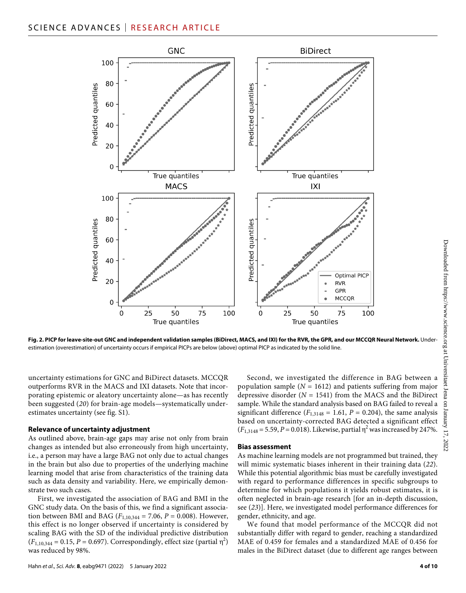

**Fig. 2. PICP for leave-site-out GNC and independent validation samples (BiDirect, MACS, and IXI) for the RVR, the GPR, and our MCCQR Neural Network.** Underestimation (overestimation) of uncertainty occurs if empirical PICPs are below (above) optimal PICP as indicated by the solid line.

uncertainty estimations for GNC and BiDirect datasets. MCCQR outperforms RVR in the MACS and IXI datasets. Note that incorporating epistemic or aleatory uncertainty alone—as has recently been suggested (*20*) for brain-age models—systematically underestimates uncertainty (see fig. S1).

#### **Relevance of uncertainty adjustment**

As outlined above, brain-age gaps may arise not only from brain changes as intended but also erroneously from high uncertainty, i.e., a person may have a large BAG not only due to actual changes in the brain but also due to properties of the underlying machine learning model that arise from characteristics of the training data such as data density and variability. Here, we empirically demonstrate two such cases.

First, we investigated the association of BAG and BMI in the GNC study data. On the basis of this, we find a significant association between BMI and BAG ( $F_{1,10,344} = 7.06$ ,  $P = 0.008$ ). However, this effect is no longer observed if uncertainty is considered by scaling BAG with the SD of the individual predictive distribution  $(F_{1,10,344} = 0.15, P = 0.697)$ . Correspondingly, effect size (partial  $\eta^2$ ) was reduced by 98%.

Second, we investigated the difference in BAG between a population sample (*N* = 1612) and patients suffering from major depressive disorder (*N* = 1541) from the MACS and the BiDirect sample. While the standard analysis based on BAG failed to reveal a significant difference  $(F_{1,3148} = 1.61, P = 0.204)$ , the same analysis based on uncertainty-corrected BAG detected a significant effect  $(F_{1,3148} = 5.59, P = 0.018)$ . Likewise, partial  $\eta^2$  was increased by 247%.

#### **Bias assessment**

As machine learning models are not programmed but trained, they will mimic systematic biases inherent in their training data (*22*). While this potential algorithmic bias must be carefully investigated with regard to performance differences in specific subgroups to determine for which populations it yields robust estimates, it is often neglected in brain-age research [for an in-depth discussion, see (*23*)]. Here, we investigated model performance differences for gender, ethnicity, and age.

We found that model performance of the MCCQR did not substantially differ with regard to gender, reaching a standardized MAE of 0.459 for females and a standardized MAE of 0.456 for males in the BiDirect dataset (due to different age ranges between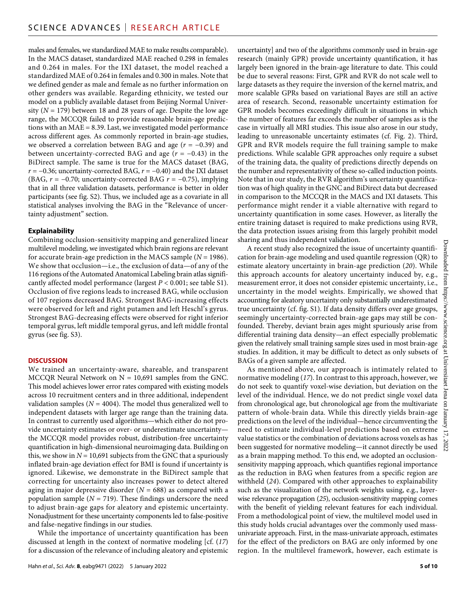males and females, we standardized MAE to make results comparable). In the MACS dataset, standardized MAE reached 0.298 in females and 0.264 in males. For the IXI dataset, the model reached a standardized MAE of 0.264 in females and 0.300 in males. Note that we defined gender as male and female as no further information on other genders was available. Regarding ethnicity, we tested our model on a publicly available dataset from Beijing Normal University (*N* = 179) between 18 and 28 years of age. Despite the low age range, the MCCQR failed to provide reasonable brain-age predictions with an MAE = 8.39. Last, we investigated model performance across different ages. As commonly reported in brain-age studies, we observed a correlation between BAG and age (*r* = −0.39) and between uncertainty-corrected BAG and age (*r* = −0.43) in the BiDirect sample. The same is true for the MACS dataset (BAG, *r* = −0.36; uncertainty-corrected BAG, *r* = −0.40) and the IXI dataset (BAG, *r* = −0.70; uncertainty-corrected BAG *r* = −0.75), implying that in all three validation datasets, performance is better in older participants (see fig. S2). Thus, we included age as a covariate in all statistical analyses involving the BAG in the "Relevance of uncertainty adjustment" section.

#### **Explainability**

Combining occlusion-sensitivity mapping and generalized linear multilevel modeling, we investigated which brain regions are relevant for accurate brain-age prediction in the MACS sample (*N* = 1986). We show that occlusion—i.e., the exclusion of data—of any of the 116 regions of the Automated Anatomical Labeling brain atlas significantly affected model performance (largest *P* < 0.001; see table S1). Occlusion of five regions leads to increased BAG, while occlusion of 107 regions decreased BAG. Strongest BAG-increasing effects were observed for left and right putamen and left Heschl's gyrus. Strongest BAG-decreasing effects were observed for right inferior temporal gyrus, left middle temporal gyrus, and left middle frontal gyrus (see fig. S3).

#### **DISCUSSION**

We trained an uncertainty-aware, shareable, and transparent MCCQR Neural Network on  $N = 10,691$  samples from the GNC. This model achieves lower error rates compared with existing models across 10 recruitment centers and in three additional, independent validation samples ( $N = 4004$ ). The model thus generalized well to independent datasets with larger age range than the training data. In contrast to currently used algorithms—which either do not provide uncertainty estimates or over- or underestimate uncertainty the MCCQR model provides robust, distribution-free uncertainty quantification in high-dimensional neuroimaging data. Building on this, we show in  $N = 10,691$  subjects from the GNC that a spuriously inflated brain-age deviation effect for BMI is found if uncertainty is ignored. Likewise, we demonstrate in the BiDirect sample that correcting for uncertainty also increases power to detect altered aging in major depressive disorder  $(N = 688)$  as compared with a population sample  $(N = 719)$ . These findings underscore the need to adjust brain-age gaps for aleatory and epistemic uncertainty. Nonadjustment for these uncertainty components led to false-positive and false-negative findings in our studies.

While the importance of uncertainty quantification has been discussed at length in the context of normative modeling [cf. (*17*) for a discussion of the relevance of including aleatory and epistemic

uncertainty] and two of the algorithms commonly used in brain-age research (mainly GPR) provide uncertainty quantification, it has largely been ignored in the brain-age literature to date. This could be due to several reasons: First, GPR and RVR do not scale well to large datasets as they require the inversion of the kernel matrix, and more scalable GPRs based on variational Bayes are still an active area of research. Second, reasonable uncertainty estimation for GPR models becomes exceedingly difficult in situations in which the number of features far exceeds the number of samples as is the case in virtually all MRI studies. This issue also arose in our study, leading to unreasonable uncertainty estimates (cf. Fig. 2). Third, GPR and RVR models require the full training sample to make predictions. While scalable GPR approaches only require a subset of the training data, the quality of predictions directly depends on the number and representativity of these so-called induction points. Note that in our study, the RVR algorithm's uncertainty quantification was of high quality in the GNC and BiDirect data but decreased in comparison to the MCCQR in the MACS and IXI datasets. This performance might render it a viable alternative with regard to uncertainty quantification in some cases. However, as literally the entire training dataset is required to make predictions using RVR, the data protection issues arising from this largely prohibit model sharing and thus independent validation.

A recent study also recognized the issue of uncertainty quantification for brain-age modeling and used quantile regression (QR) to estimate aleatory uncertainty in brain-age prediction (*20*). While this approach accounts for aleatory uncertainty induced by, e.g., measurement error, it does not consider epistemic uncertainty, i.e., uncertainty in the model weights. Empirically, we showed that accounting for aleatory uncertainty only substantially underestimated true uncertainty (cf. fig. S1). If data density differs over age groups, seemingly uncertainty-corrected brain-age gaps may still be confounded. Thereby, deviant brain ages might spuriously arise from differential training data density—an effect especially problematic given the relatively small training sample sizes used in most brain-age studies. In addition, it may be difficult to detect as only subsets of BAGs of a given sample are affected.

As mentioned above, our approach is intimately related to normative modeling (*17*). In contrast to this approach, however, we do not seek to quantify voxel-wise deviation, but deviation on the level of the individual. Hence, we do not predict single voxel data from chronological age, but chronological age from the multivariate pattern of whole-brain data. While this directly yields brain-age predictions on the level of the individual—hence circumventing the need to estimate individual-level predictions based on extreme value statistics or the combination of deviations across voxels as has been suggested for normative modeling—it cannot directly be used as a brain mapping method. To this end, we adopted an occlusionsensitivity mapping approach, which quantifies regional importance as the reduction in BAG when features from a specific region are withheld (*24*). Compared with other approaches to explainability such as the visualization of the network weights using, e.g., layerwise relevance propagation (*25*), occlusion-sensitivity mapping comes with the benefit of yielding relevant features for each individual. From a methodological point of view, the multilevel model used in this study holds crucial advantages over the commonly used massunivariate approach. First, in the mass-univariate approach, estimates for the effect of the predictors on BAG are only informed by one region. In the multilevel framework, however, each estimate is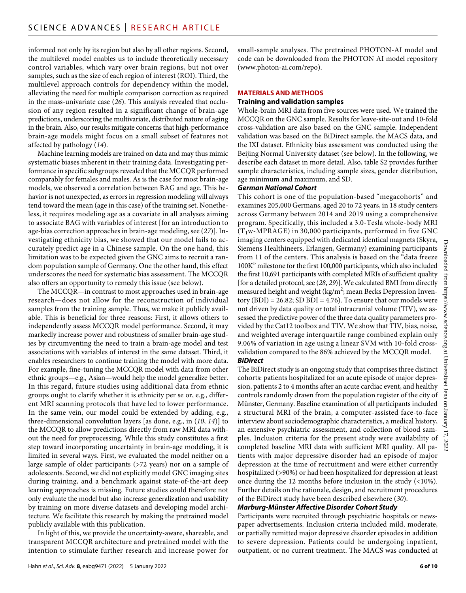informed not only by its region but also by all other regions. Second, the multilevel model enables us to include theoretically necessary control variables, which vary over brain regions, but not over samples, such as the size of each region of interest (ROI). Third, the multilevel approach controls for dependency within the model, alleviating the need for multiple comparison correction as required in the mass-univariate case (*26*). This analysis revealed that occlusion of any region resulted in a significant change of brain-age predictions, underscoring the multivariate, distributed nature of aging in the brain. Also, our results mitigate concerns that high-performance brain-age models might focus on a small subset of features not affected by pathology (*14*).

Machine learning models are trained on data and may thus mimic systematic biases inherent in their training data. Investigating performance in specific subgroups revealed that the MCCQR performed comparably for females and males. As is the case for most brain-age models, we observed a correlation between BAG and age. This behavior is not unexpected, as errors in regression modeling will always tend toward the mean (age in this case) of the training set. Nonetheless, it requires modeling age as a covariate in all analyses aiming to associate BAG with variables of interest [for an introduction to age-bias correction approaches in brain-age modeling, see (*27*)]. Investigating ethnicity bias, we showed that our model fails to accurately predict age in a Chinese sample. On the one hand, this limitation was to be expected given the GNC aims to recruit a random population sample of Germany. One the other hand, this effect underscores the need for systematic bias assessment. The MCCQR also offers an opportunity to remedy this issue (see below).

The MCCQR—in contrast to most approaches used in brain-age research—does not allow for the reconstruction of individual samples from the training sample. Thus, we make it publicly available. This is beneficial for three reasons: First, it allows others to independently assess MCCQR model performance. Second, it may markedly increase power and robustness of smaller brain-age studies by circumventing the need to train a brain-age model and test associations with variables of interest in the same dataset. Third, it enables researchers to continue training the model with more data. For example, fine-tuning the MCCQR model with data from other ethnic groups—e.g., Asian—would help the model generalize better. In this regard, future studies using additional data from ethnic groups ought to clarify whether it is ethnicity per se or, e.g., different MRI scanning protocols that have led to lower performance. In the same vein, our model could be extended by adding, e.g., three-dimensional convolution layers [as done, e.g., in (*10*, *14*)] to the MCCQR to allow predictions directly from raw MRI data without the need for preprocessing. While this study constitutes a first step toward incorporating uncertainty in brain-age modeling, it is limited in several ways. First, we evaluated the model neither on a large sample of older participants (>72 years) nor on a sample of adolescents. Second, we did not explicitly model GNC imaging sites during training, and a benchmark against state-of-the-art deep learning approaches is missing. Future studies could therefore not only evaluate the model but also increase generalization and usability by training on more diverse datasets and developing model architecture. We facilitate this research by making the pretrained model publicly available with this publication.

In light of this, we provide the uncertainty-aware, shareable, and transparent MCCQR architecture and pretrained model with the intention to stimulate further research and increase power for small-sample analyses. The pretrained PHOTON-AI model and code can be downloaded from the PHOTON AI model repository [\(www.photon-ai.com/repo](http://www.photon-ai.com/repo)).

#### **MATERIALS AND METHODS**

#### **Training and validation samples**

Whole-brain MRI data from five sources were used. We trained the MCCQR on the GNC sample. Results for leave-site-out and 10-fold cross-validation are also based on the GNC sample. Independent validation was based on the BiDirect sample, the MACS data, and the IXI dataset. Ethnicity bias assessment was conducted using the Beijing Normal University dataset (see below). In the following, we describe each dataset in more detail. Also, table S2 provides further sample characteristics, including sample sizes, gender distribution, age minimum and maximum, and SD.

#### *German National Cohort*

This cohort is one of the population-based "megacohorts" and examines 205,000 Germans, aged 20 to 72 years, in 18 study centers across Germany between 2014 and 2019 using a comprehensive program. Specifically, this included a 3.0-Tesla whole-body MRI  $(T_1w\text{-}MPRAGE)$  in 30,000 participants, performed in five GNC imaging centers equipped with dedicated identical magnets (Skyra, Siemens Healthineers, Erlangen, Germany) examining participants from 11 of the centers. This analysis is based on the "data freeze 100K" milestone for the first 100,000 participants, which also included the first 10,691 participants with completed MRIs of sufficient quality [for a detailed protocol, see (*28*, *29*)]. We calculated BMI from directly measured height and weight (kg/m<sup>2</sup>; mean Becks Depression Inven $tory (BDI) = 26.82$ ; SD  $BDI = 4.76$ ). To ensure that our models were not driven by data quality or total intracranial volume (TIV), we assessed the predictive power of the three data quality parameters provided by the Cat12 toolbox and TIV. We show that TIV, bias, noise, and weighted average interquartile range combined explain only 9.06% of variation in age using a linear SVM with 10-fold crossvalidation compared to the 86% achieved by the MCCQR model. *BiDirect*

The BiDirect study is an ongoing study that comprises three distinct cohorts: patients hospitalized for an acute episode of major depression, patients 2 to 4 months after an acute cardiac event, and healthy controls randomly drawn from the population register of the city of Münster, Germany. Baseline examination of all participants included a structural MRI of the brain, a computer-assisted face-to-face interview about sociodemographic characteristics, a medical history, an extensive psychiatric assessment, and collection of blood samples. Inclusion criteria for the present study were availability of completed baseline MRI data with sufficient MRI quality. All patients with major depressive disorder had an episode of major depression at the time of recruitment and were either currently hospitalized (>90%) or had been hospitalized for depression at least once during the 12 months before inclusion in the study (<10%). Further details on the rationale, design, and recruitment procedures of the BiDirect study have been described elsewhere (*30*).

#### *Marburg-Münster Affective Disorder Cohort Study*

Participants were recruited through psychiatric hospitals or newspaper advertisements. Inclusion criteria included mild, moderate, or partially remitted major depressive disorder episodes in addition to severe depression. Patients could be undergoing inpatient, outpatient, or no current treatment. The MACS was conducted at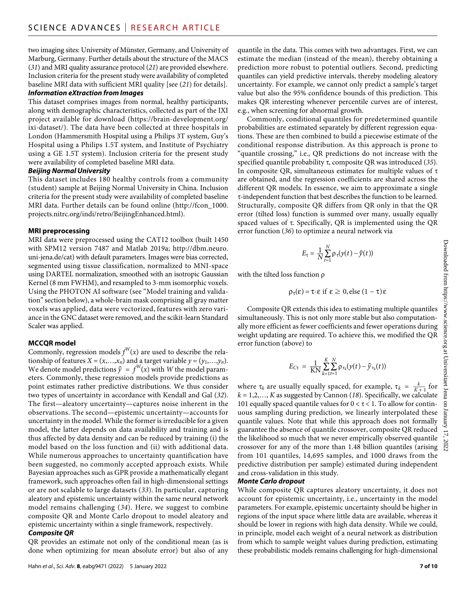two imaging sites: University of Münster, Germany, and University of Marburg, Germany. Further details about the structure of the MACS (*31*) and MRI quality assurance protocol (*21*) are provided elsewhere. Inclusion criteria for the present study were availability of completed baseline MRI data with sufficient MRI quality [see (*21*) for details]. *Information eXtraction from Images*

#### This dataset comprises images from normal, healthy participants, along with demographic characteristics, collected as part of the IXI project available for download [\(https://brain-development.org/](https://brain-development.org/ixi-dataset/) [ixi-dataset/](https://brain-development.org/ixi-dataset/)). The data have been collected at three hospitals in London (Hammersmith Hospital using a Philips 3T system, Guy's Hospital using a Philips 1.5T system, and Institute of Psychiatry using a GE 1.5T system). Inclusion criteria for the present study were availability of completed baseline MRI data.

#### *Beijing Normal University*

This dataset includes 180 healthy controls from a community (student) sample at Beijing Normal University in China. Inclusion criteria for the present study were availability of completed baseline MRI data. Further details can be found online [\(http://fcon\\_1000.](http://fcon_1000.projects.nitrc.org/indi/retro/BeijingEnhanced.html) [projects.nitrc.org/indi/retro/BeijingEnhanced.html](http://fcon_1000.projects.nitrc.org/indi/retro/BeijingEnhanced.html)).

#### **MRI preprocessing**

MRI data were preprocessed using the CAT12 toolbox (built 1450 with SPM12 version 7487 and Matlab 2019a; [http://dbm.neuro.](http://dbm.neuro.uni-jena.de/cat) [uni-jena.de/cat\)](http://dbm.neuro.uni-jena.de/cat) with default parameters. Images were bias corrected, segmented using tissue classification, normalized to MNI-space using DARTEL normalization, smoothed with an isotropic Gaussian Kernel (8 mm FWHM), and resampled to 3-mm isomorphic voxels. Using the PHOTON AI software (see "Model training and validation" section below), a whole-brain mask comprising all gray matter voxels was applied, data were vectorized, features with zero variance in the GNC dataset were removed, and the scikit-learn Standard Scaler was applied.

#### **MCCQR model**

Commonly, regression models  $f^W(x)$  are used to describe the relationship of features  $X = (x, \ldots, x_n)$  and a target variable  $y = (y_1, \ldots, y_n)$ . We denote model predictions  $\hat{y} = f^W(x)$  with *W* the model parameters. Commonly, these regression models provide predictions as point estimates rather predictive distributions. We thus consider two types of uncertainty in accordance with Kendall and Gal (*32*). The first—aleatory uncertainty—captures noise inherent in the observations. The second—epistemic uncertainty—accounts for uncertainty in the model. While the former is irreducible for a given model, the latter depends on data availability and training and is thus affected by data density and can be reduced by training (i) the model based on the loss function and (ii) with additional data. While numerous approaches to uncertainty quantification have been suggested, no commonly accepted approach exists. While Bayesian approaches such as GPR provide a mathematically elegant framework, such approaches often fail in high-dimensional settings or are not scalable to large datasets (*33*). In particular, capturing aleatory and epistemic uncertainty within the same neural network model remains challenging (*34*). Here, we suggest to combine composite QR and Monte Carlo dropout to model aleatory and epistemic uncertainty within a single framework, respectively.

#### *Composite QR*

QR provides an estimate not only of the conditional mean (as is done when optimizing for mean absolute error) but also of any

quantile in the data. This comes with two advantages. First, we can estimate the median (instead of the mean), thereby obtaining a prediction more robust to potential outliers. Second, predicting quantiles can yield predictive intervals, thereby modeling aleatory uncertainty. For example, we cannot only predict a sample's target value but also the 95% confidence bounds of this prediction. This makes QR interesting whenever percentile curves are of interest, e.g., when screening for abnormal growth.

Commonly, conditional quantiles for predetermined quantile probabilities are estimated separately by different regression equations. These are then combined to build a piecewise estimate of the conditional response distribution. As this approach is prone to "quantile crossing," i.e., QR predictions do not increase with the specified quantile probability , composite QR was introduced (*35*). In composite QR, simultaneous estimates for multiple values of  $\tau$ are obtained, and the regression coefficients are shared across the different QR models. In essence, we aim to approximate a single -independent function that best describes the function to be learned. Structurally, composite QR differs from QR only in that the QR error (tilted loss) function is summed over many, usually equally spaced values of  $\tau$ . Specifically, QR is implemented using the QR error function (*36*) to optimize a neural network via

$$
E_{\tau} = \frac{1}{N} \sum_{t=1}^{N} \rho_{\tau}(y(t) - \hat{y}(t))
$$

with the tilted loss function  $\rho$ 

 $\rho_{\tau}(\epsilon) = \tau \cdot \epsilon$  if  $\epsilon \geq 0$ , else  $(1 - \tau) \epsilon$ 

Composite QR extends this idea to estimating multiple quantiles simultaneously. This is not only more stable but also computationally more efficient as fewer coefficients and fewer operations during weight updating are required. To achieve this, we modified the QR error function (above) to

$$
E_{C\tau} = \frac{1}{KN} \sum_{k=1}^{K} \sum_{t=1}^{N} \rho_{\tau_k}(y(t) - \hat{y}_{\tau_k}(t))
$$

where  $\tau_k$  are usually equally spaced, for example,  $\tau_k = \frac{k}{K+1}$  for *k* = 1,2,…, *K* as suggested by Cannon (*18*). Specifically, we calculate 101 equally spaced quantile values for  $0 < \tau < 1$ . To allow for continuous sampling during prediction, we linearly interpolated these quantile values. Note that while this approach does not formally guarantee the absence of quantile crossover, composite QR reduced the likelihood so much that we never empirically observed quantile crossover for any of the more than 1.48 billion quantiles (arising from 101 quantiles, 14,695 samples, and 1000 draws from the predictive distribution per sample) estimated during independent and cross-validation in this study.

#### *Monte Carlo dropout*

While composite QR captures aleatory uncertainty, it does not account for epistemic uncertainty, i.e., uncertainty in the model parameters. For example, epistemic uncertainty should be higher in regions of the input space where little data are available, whereas it should be lower in regions with high data density. While we could, in principle, model each weight of a neural network as distribution from which to sample weight values during prediction, estimating these probabilistic models remains challenging for high-dimensional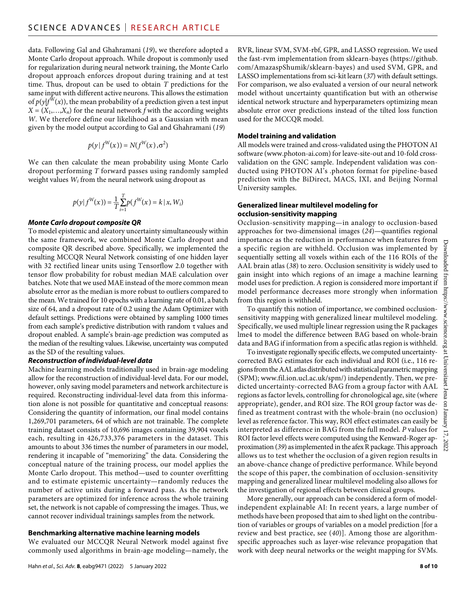data. Following Gal and Ghahramani (*19*), we therefore adopted a Monte Carlo dropout approach. While dropout is commonly used for regularization during neural network training, the Monte Carlo dropout approach enforces dropout during training and at test time. Thus, dropout can be used to obtain *T* predictions for the same input with different active neurons. This allows the estimation of  $p(y|f^W(x))$ , the mean probability of a prediction given a test input  $X = (X_1, \ldots, X_n)$  for the neural network *f* with the according weights *W*. We therefore define our likelihood as a Gaussian with mean given by the model output according to Gal and Ghahramani (*19*)

$$
p(y | f^W(x)) = N(f^W(x), \sigma^2)
$$

We can then calculate the mean probability using Monte Carlo dropout performing *T* forward passes using randomly sampled weight values *Wi* from the neural network using dropout as

$$
p(y | f^{W}(x)) = \frac{1}{T} \sum_{i=1}^{T} p(f^{W}(x) = k | x, W_{i})
$$

#### *Monte Carlo dropout composite QR*

To model epistemic and aleatory uncertainty simultaneously within the same framework, we combined Monte Carlo dropout and composite QR described above. Specifically, we implemented the resulting MCCQR Neural Network consisting of one hidden layer with 32 rectified linear units using Tensorflow 2.0 together with tensor flow probability for robust median MAE calculation over batches. Note that we used MAE instead of the more common mean absolute error as the median is more robust to outliers compared to the mean. We trained for 10 epochs with a learning rate of 0.01, a batch size of 64, and a dropout rate of 0.2 using the Adam Optimizer with default settings. Predictions were obtained by sampling 1000 times from each sample's predictive distribution with random  $\tau$  values and dropout enabled. A sample's brain-age prediction was computed as the median of the resulting values. Likewise, uncertainty was computed as the SD of the resulting values.

#### *Reconstruction of individual-level data*

Machine learning models traditionally used in brain-age modeling allow for the reconstruction of individual-level data. For our model, however, only saving model parameters and network architecture is required. Reconstructing individual-level data from this information alone is not possible for quantitative and conceptual reasons: Considering the quantity of information, our final model contains 1,269,701 parameters, 64 of which are not trainable. The complete training dataset consists of 10,696 images containing 39,904 voxels each, resulting in 426,733,376 parameters in the dataset. This amounts to about 336 times the number of parameters in our model, rendering it incapable of "memorizing" the data. Considering the conceptual nature of the training process, our model applies the Monte Carlo dropout. This method—used to counter overfitting and to estimate epistemic uncertainty—randomly reduces the number of active units during a forward pass. As the network parameters are optimized for inference across the whole training set, the network is not capable of compressing the images. Thus, we cannot recover individual trainings samples from the network.

#### **Benchmarking alternative machine learning models**

We evaluated our MCCQR Neural Network model against five commonly used algorithms in brain-age modeling—namely, the

RVR, linear SVM, SVM-rbf, GPR, and LASSO regression. We used the fast-rvm implementation from sklearn-bayes ([https://github.](https://github.com/AmazaspShumik/sklearn-bayes) [com/AmazaspShumik/sklearn-bayes\)](https://github.com/AmazaspShumik/sklearn-bayes) and used SVM, GPR, and LASSO implementations from sci-kit learn (*37*) with default settings. For comparison, we also evaluated a version of our neural network model without uncertainty quantification but with an otherwise identical network structure and hyperparameters optimizing mean absolute error over predictions instead of the tilted loss function used for the MCCQR model.

#### **Model training and validation**

All models were trained and cross-validated using the PHOTON AI software [\(www.photon-ai.com\)](http://www.photon-ai.com) for leave-site-out and 10-fold crossvalidation on the GNC sample. Independent validation was conducted using PHOTON AI's .photon format for pipeline-based prediction with the BiDirect, MACS, IXI, and Beijing Normal University samples.

#### **Generalized linear multilevel modeling for occlusion-sensitivity mapping**

Occlusion-sensitivity mapping—in analogy to occlusion-based approaches for two-dimensional images (*24*)—quantifies regional importance as the reduction in performance when features from a specific region are withheld. Occlusion was implemented by sequentially setting all voxels within each of the 116 ROIs of the AAL brain atlas (*38*) to zero. Occlusion sensitivity is widely used to gain insight into which regions of an image a machine learning model uses for prediction. A region is considered more important if model performance decreases more strongly when information from this region is withheld.

To quantify this notion of importance, we combined occlusionsensitivity mapping with generalized linear multilevel modeling. Specifically, we used multiple linear regression using the R packages lme4 to model the difference between BAG based on whole-brain data and BAG if information from a specific atlas region is withheld.

To investigate regionally specific effects, we computed uncertaintycorrected BAG estimates for each individual and ROI (i.e., 116 regions from the AAL atlas distributed with statistical parametric mapping (SPM); [www.fil.ion.ucl.ac.uk/spm/](http://www.fil.ion.ucl.ac.uk/spm/)) independently. Then, we predicted uncertainty-corrected BAG from a group factor with AAL regions as factor levels, controlling for chronological age, site (where appropriate), gender, and ROI size. The ROI group factor was defined as treatment contrast with the whole-brain (no occlusion) level as reference factor. This way, ROI effect estimates can easily be interpreted as difference in BAG from the full model. *P* values for ROI factor level effects were computed using the Kenward-Roger approximation (*39*) as implemented in the afex R package. This approach allows us to test whether the occlusion of a given region results in an above-chance change of predictive performance. While beyond the scope of this paper, the combination of occlusion-sensitivity mapping and generalized linear multilevel modeling also allows for the investigation of regional effects between clinical groups.

More generally, our approach can be considered a form of modelindependent explainable AI: In recent years, a large number of methods have been proposed that aim to shed light on the contribution of variables or groups of variables on a model prediction [for a review and best practice, see (*40*)]. Among those are algorithmspecific approaches such as layer-wise relevance propagation that work with deep neural networks or the weight mapping for SVMs.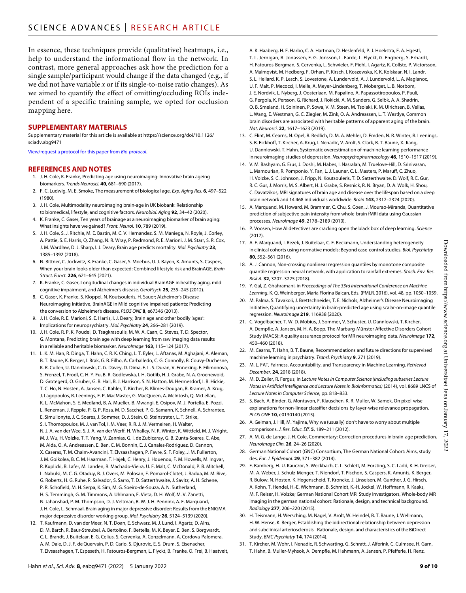In essence, these techniques provide (qualitative) heatmaps, i.e., help to understand the informational flow in the network. In contrast, more general approaches ask how the prediction for a single sample/participant would change if the data changed (e.g., if we did not have variable *x* or if its single-to-noise ratio changes). As we aimed to quantify the effect of omitting/occluding ROIs independent of a specific training sample, we opted for occlusion mapping here.

#### **SUPPLEMENTARY MATERIALS**

Supplementary material for this article is available at [https://science.org/doi/10.1126/](https://science.org/doi/10.1126/sciadv.abg9471) [sciadv.abg9471](https://science.org/doi/10.1126/sciadv.abg9471)

[View/request a protocol for this paper from](https://en.bio-protocol.org/cjrap.aspx?eid=10.1126/sciadv.abg9471) *Bio-protocol*.

#### **REFERENCES AND NOTES**

- 1. J. H. Cole, K. Franke, Predicting age using neuroimaging: Innovative brain ageing biomarkers. *Trends Neurosci.* **40**, 681–690 (2017).
- 2. F. C. Ludwig, M. E. Smoke, The measurement of biological age. *Exp. Aging Res.* **6**, 497–522 (1980).
- 3. J. H. Cole, Multimodality neuroimaging brain-age in UK biobank: Relationship to biomedical, lifestyle, and cognitive factors. *Neurobiol. Aging* **92**, 34–42 (2020).
- 4. K. Franke, C. Gaser, Ten years of brainage as a neuroimaging biomarker of brain aging: What insights have we gained? *Front. Neurol.* **10**, 789 (2019).
- 5. J. H. Cole, S. J. Ritchie, M. E. Bastin, M. C. V. Hernandez, S. M. Maniega, N. Royle, J. Corley, A. Pattie, S. E. Harris, Q. Zhang, N. R. Wray, P. Redmond, R. E. Marioni, J. M. Starr, S. R. Cox, J. M. Wardlaw, D. J. Sharp, I. J. Deary, Brain age predicts mortality. *Mol. Psychiatry* **23**, 1385–1392 (2018).
- 6. N. Bittner, C. Jockwitz, K. Franke, C. Gaser, S. Moebus, U. J. Bayen, K. Amunts, S. Caspers, When your brain looks older than expected: Combined lifestyle risk and BrainAGE. *Brain Struct. Funct.* **226**, 621–645 (2021).
- 7. K. Franke, C. Gaser, Longitudinal changes in individual BrainAGE in healthy aging, mild cognitive impairment, and Alzheimer's disease. *GeroPsych* **25**, 235–245 (2012).
- 8. C. Gaser, K. Franke, S. Kloppel, N. Koutsouleris, H. Sauer; Alzheimer's Disease Neuroimaging Initiative, BrainAGE in Mild cognitive impaired patients: Predicting the conversion to Alzheimer's disease. *PLOS ONE* **8**, e67346 (2013).
- 9. J. H. Cole, R. E. Marioni, S. E. Harris, I. J. Deary, Brain age and other bodily 'ages': Implications for neuropsychiatry. *Mol. Psychiatry* **24**, 266–281 (2019).
- 10. J. H. Cole, R. P. K. Poudel, D. Tsagkrasoulis, M. W. A. Caan, C. Steves, T. D. Spector, G. Montana, Predicting brain age with deep learning from raw imaging data results in a reliable and heritable biomarker. *NeuroImage* **163**, 115–124 (2017).
- 11. L. K. M. Han, R. Dinga, T. Hahn, C. R. K. Ching, L. T. Eyler, L. Aftanas, M. Aghajani, A. Aleman, B. T. Baune, K. Berger, I. Brak, G. B. Filho, A. Carballedo, C. G. Connolly, B. Couvy-Duchesne, K. R. Cullen, U. Dannlowski, C. G. Davey, D. Dima, F. L. S. Duran, V. Enneking, E. Filimonova, S. Frenzel, T. Frodl, C. H. Y. Fu, B. R. Godlewska, I. H. Gotlib, H. J. Grabe, N. A. Groenewold, D. Grotegerd, O. Gruber, G. B. Hall, B. J. Harrison, S. N. Hatton, M. Hermesdorf, I. B. Hickie, T. C. Ho, N. Hosten, A. Jansen, C. Kahler, T. Kircher, B. Klimes-Dougan, B. Kramer, A. Krug, J. Lagopoulos, R. Leenings, F. P. MacMaster, G. MacQueen, A. McIntosh, Q. McLellan, K. L. McMahon, S. E. Medland, B. A. Mueller, B. Mwangi, E. Osipov, M. J. Portella, E. Pozzi, L. Reneman, J. Repple, P. G. P. Rosa, M. D. Sacchet, P. G. Samann, K. Schnell, A. Schrantee, E. Simulionyte, J. C. Soares, J. Sommer, D. J. Stein, O. Steinstrater, L. T. Strike, S. I. Thomopoulos, M. J. van Tol, I. M. Veer, R. R. J. M. Vermeiren, H. Walter, N. J. A. van der Wee, S. J. A. van der Werff, H. Whalley, N. R. Winter, K. Wittfeld, M. J. Wright, M. J. Wu, H. Volzke, T. T. Yang, V. Zannias, G. I. de Zubicaray, G. B. Zunta-Soares, C. Abe, M. Alda, O. A. Andreassen, E. Ben, C. M. Bonnin, E. J. Canales-Rodriguez, D. Cannon, X. Caseras, T. M. Chaim-Avancini, T. Elvsaashagen, P. Favre, S. F. Foley, J. M. Fullerton, J. M. Goikolea, B. C. M. Haarman, T. Hajek, C. Henry, J. Houenou, F. M. Howells, M. Ingvar, R. Kuplicki, B. Lafer, M. Landen, R. Machado-Vieira, U. F. Malt, C. McDonald, P. B. Mitchell, L. Nabulsi, M. C. G. Otaduy, B. J. Overs, M. Polosan, E. Pomarol-Clotet, J. Radua, M. M. Rive, G. Roberts, H. G. Ruhe, R. Salvador, S. Sarro, T. D. Satterthwaite, J. Savitz, A. H. Schene, P. R. Schofield, M. H. Serpa, K. Sim, M. G. Soeiro-de-Souza, A. N. Sutherland, H. S. Temmingh, G. M. Timmons, A. Uhlmann, E. Vieta, D. H. Wolf, M. V. Zanetti, N. Jahanshad, P. M. Thompson, D. J. Veltman, B. W. J. H. Penninx, A. F. Marquand, J. H. Cole, L. Schmaal, Brain aging in major depressive disorder: Results from the ENIGMA major depressive disorder working group. *Mol. Psychiatry* **26**, 5124–5139 (2020).
- 12. T. Kaufmann, D. van der Meer, N. T. Doan, E. Schwarz, M. J. Lund, I. Agartz, D. Alns, D. M. Barch, R. Baur-Streubel, A. Bertolino, F. Bettella, M. K. Beyer, E. Ben, S. Borgwardt, C. L. Brandt, J. Buitelaar, E. G. Celius, S. Cervenka, A. Conzelmann, A. Cordova-Palomera, A. M. Dale, D. J. F. de Quervain, P. D. Carlo, S. Diurovic, E. S. Drum, S. Eisenacher, T. Elvsaashagen, T. Espeseth, H. Fatouros-Bergman, L. Flyckt, B. Franke, O. Frei, B. Haatveit,
- A. K. Haaberg, H. F. Harbo, C. A. Hartman, D. Heslenfeld, P. J. Hoekstra, E. A. Hgestl, T. L. Jernigan, R. Jonassen, E. G. Jonsson, L. Farde, L. Flyckt, G. Engberg, S. Erhardt, H. Fatouros-Bergman, S. Cervenka, L. Schwieler, F. Piehl, I. Agartz, K. Collste, P. Victorsson, A. Malmqvist, M. Hedberg, F. Orhan, P. Kirsch, I. Koszewska, K. K. Kolskaar, N. I. Landr, S. L. Hellard, K. P. Lesch, S. Lovestone, A. Lundervold, A. J. Lundervold, L. A. Maglanoc, U. F. Malt, P. Mecocci, I. Melle, A. Meyer-Lindenberg, T. Moberget, L. B. Norbom, J. E. Nordvik, L. Nyberg, J. Oosterlaan, M. Papalino, A. Papassotiropoulos, P. Pauli, G. Pergola, K. Persson, G. Richard, J. Rokicki, A. M. Sanders, G. Selbk, A. A. Shadrin, O. B. Smeland, H. Soininen, P. Sowa, V. M. Steen, M. Tsolaki, K. M. Ulrichsen, B. Vellas, L. Wang, E. Westman, G. C. Ziegler, M. Zink, O. A. Andreassen, L. T. Westlye, Common brain disorders are associated with heritable patterns of apparent aging of the brain. *Nat. Neurosci.* **22**, 1617–1623 (2019).
- 13. C. Flint, M. Cearns, N. Opel, R. Redlich, D. M. A. Mehler, D. Emden, N. R. Winter, R. Leenings, S. B. Eickhoff, T. Kircher, A. Krug, I. Nenadic, V. Arolt, S. Clark, B. T. Baune, X. Jiang, U. Dannlowski, T. Hahn, Systematic overestimation of machine learning performance in neuroimaging studies of depression. *Neuropsychopharmacology* **46**, 1510–1517 (2019).
- 14. V. M. Bashyam, G. Erus, J. Doshi, M. Habes, I. Nasralah, M. Truelove-Hill, D. Srinivasan, L. Mamourian, R. Pomponio, Y. Fan, L. J. Launer, C. L. Masters, P. Maruff, C. Zhuo, H. Volzke, S. C. Johnson, J. Fripp, N. Koutsouleris, T. D. Satterthwaite, D. Wolf, R. E. Gur, R. C. Gur, J. Morris, M. S. Albert, H. J. Grabe, S. Resnick, R. N. Bryan, D. A. Wolk, H. Shou, C. Davatzikos, MRI signatures of brain age and disease over the lifespan based on a deep brain network and 14 468 individuals worldwide. *Brain* **143**, 2312–2324 (2020).
- 15. A. Marquand, M. Howard, M. Brammer, C. Chu, S. Coen, J. Mourao-Miranda, Quantitative prediction of subjective pain intensity from whole-brain fMRI data using Gaussian processes. *NeuroImage* **49**, 2178–2189 (2010).
- 16. P. Voosen, How AI detectives are cracking open the black box of deep learning. *Science* (2017).
- 17. A. F. Marquand, I. Rezek, J. Buitelaar, C. F. Beckmann, Understanding heterogeneity in clinical cohorts using normative models: Beyond case-control studies. *Biol. Psychiatry* **80**, 552–561 (2016).
- 18. A. J. Cannon, Non-crossing nonlinear regression quantiles by monotone composite quantile regression neural network, with application to rainfall extremes. *Stoch. Env. Res. Risk A.* **32**, 3207–3225 (2018).
- 19. Y. Gal, Z. Ghahramani, in *Proceedings of The 33rd International Conference on Machine Learning*, K. Q. Weinberger, Maria Florina Balcan, Eds. (PMLR, 2016), vol. 48, pp. 1050–1059.
- 20. M. Palma, S. Tavakoli, J. Brettschneider, T. E. Nichols; Alzheimer's Disease Neuroimaging Initiative, Quantifying uncertainty in brain-predicted age using scalar-on-image quantile regression. *NeuroImage* **219**, 116938 (2020).
- 21. C. Vogelbacher, T. W. D. Mobius, J. Sommer, V. Schuster, U. Dannlowski, T. Kircher, A. Dempfle, A. Jansen, M. H. A. Bopp, The Marburg-Münster Affective Disorders Cohort Study (MACS): A quality assurance protocol for MR neuroimaging data. *NeuroImage* **172**, 450–460 (2018).
- 22. M. Cearns, T. Hahn, B. T. Baune, Recommendations and future directions forsupervised machine learning in psychiatry. *Transl. Psychiatry* **9**, 271 (2019).
- 23. M. L. FAT, Fairness, Accountability, and Transparency in Machine Learning. *Retrieved December*. **24**, 2018 (2018).
- 24. M. D. Zeiler, R. Fergus, in *Lecture Notes in Computer Science (including subseries Lecture Notes in Artificial Intelligence and Lecture Notes in Bioinformatics)* (2014), vol. 8689 LNCS of *Lecture Notes in Computer Science*, pp. 818–833.
- 25. S. Bach, A. Binder, G. Montavon, F. Klauschen, K. R. Muller, W. Samek, On pixel-wise explanations for non-linear classifier decisions by layer-wise relevance propagation. *PLOS ONE* **10**, e0130140 (2015).
- 26. A. Gelman, J. Hill, M. Yajima, Why we (usually) don't have to worry about multiple comparisons. *J. Res. Educ. Eff.* **5**, 189–211 (2012).
- 27. A. M. G. de Lange, J. H. Cole, Commentary: Correction procedures in brain-age prediction. *Neuroimage Clin.* **26**, 24–26 (2020).
- 28. German National Cohort (GNC) Consortium, The German National Cohort: Aims, study des. *Eur. J. Epidemiol.* **29**, 371–382 (2014).
- 29. F. Bamberg, H.-U. Kauczor, S. Weckbach, C. L. Schlett, M. Forsting, S. C. Ladd, K. H. Greiser, M.-A. Weber, J. Schulz-Menger, T. Niendorf, T. Pischon, S. Caspers, K. Amunts, K. Berger, R. Bulow, N. Hosten, K. Hegenscheid, T. Kroncke, J. Linseisen, M. Gunther, J. G. Hirsch, A. Kohn, T. Hendel, H.-E. Wichmann, B. Schmidt, K.-H. Jockel, W. Hoffmann, R. Kaaks, M. F. Reiser, H. Volzke; German National Cohort MRI Study Investigators, Whole-body MR imaging in the german national cohort: Rationale, design, and technical background. *Radiology* **277**, 206–220 (2015).
- 30. H. Teismann, H. Wersching, M. Nagel, V. Arolt, W. Heindel, B. T. Baune, J. Wellmann, H. W. Hense, K. Berger, Establishing the bidirectional relationship between depression and subclinical arteriosclerosis- Rationale, design, and characteristics of the BiDirect Study. *BMC Psychiatry* **14**, 174 (2014).
- 31. T. Kircher, M. Wohr, I. Nenadic, R. Schwarting, G. Schratt, J. Alferink, C. Culmsee, H. Garn, T. Hahn, B. Muller-Myhsok, A. Dempfle, M. Hahmann, A. Jansen, P. Pfefferle, H. Renz,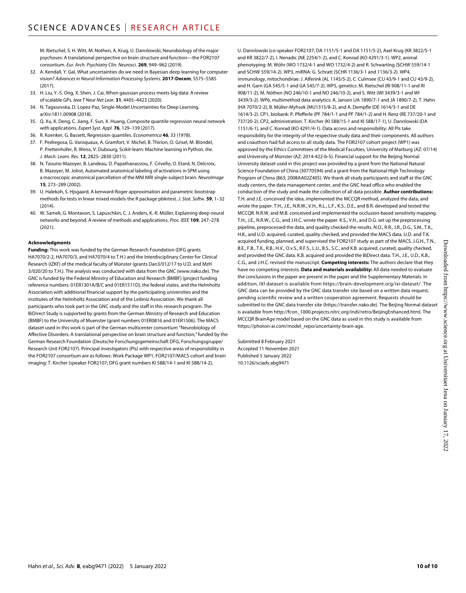M. Rietschel, S. H. Witt, M. Nothen, A. Krug, U. Dannlowski, Neurobiology of the major psychoses: A translational perspective on brain structure and function—the FOR2107 consortium. *Eur. Arch. Psychiatry Clin. Neurosci.* **269**, 949–962 (2019).

- 32. A. Kendall, Y. Gal, What uncertainties do we need in Bayesian deep learning for computer vision? *Advances in Neural Information Processing Systems*. **2017-Decem**, 5575–5585 (2017).
- 33. H. Liu, Y.-S. Ong, X. Shen, J. Cai, When gaussian process meets big data: A review ofscalable GPs. *Ieee T Neur Net Lear.* **31**, 4405–4423 (2020).
- 34. N. Tagasovska, D. Lopez-Paz, Single-Model Uncertainties for Deep Learning. arXiv:[1811.00908](https://arxiv.org/abs/1811.00908) (2018).
- 35. Q. Xu, K. Deng, C. Jiang, F. Sun, X. Huang, Composite quantile regression neural network with applications. *Expert Syst. Appl.* **76**, 129–139 (2017).
- 36. R. Koenker, G. Bassett, Regression quantiles. *Econometrica* **46**, 33 (1978).
- 37. F. Pedregosa, G. Varoquaux, A. Gramfort, V. Michel, B. Thirion, O. Grisel, M. Blondel, P. Prettenhofer, R. Weiss, V. Dubourg, Scikit-learn: Machine learning in Python. *the*. *J. Mach. Learn. Res.* **12**, 2825–2830 (2011).
- 38. N. Tzourio-Mazoyer, B. Landeau, D. Papathanassiou, F. Crivello, O. Etard, N. Delcroix, B. Mazoyer, M. Joliot, Automated anatomical labeling of activations in SPM using a macroscopic anatomical parcellation of the MNI MRI single-subject brain. *NeuroImage* **15**, 273–289 (2002).
- 39. U. Halekoh, S. Hjsgaard, A kenward-Roger approximation and parametric bootstrap methods for tests in linear mixed models-the R package pbkrtest. *J. Stat. Softw.* **59**, 1–32  $(2014)$
- 40. W. Samek, G. Montavon, S. Lapuschkin, C. J. Anders, K.-R. Müller, Explaining deep neural networks and beyond: A review of methods and applications. *Proc. IEEE* **109**, 247–278 (2021).

#### **Acknowledgments**

**Funding:** This work was funded by the German Research Foundation (DFG grants HA7070/2-2, HA7070/3, and HA7070/4 to T.H.) and the Interdisciplinary Center for Clinical Research (IZKF) of the medical faculty of Münster (grants Dan3/012/17 to U.D. and MzH 3/020/20 to T.H.). The analysis was conducted with data from the GNC [\(www.nako.de\)](http://www.nako.de). The GNC is funded by the Federal Ministry of Education and Research (BMBF) (project funding reference numbers: 01ER1301A/B/C and 01ER1511D), the federal states, and the Helmholtz Association with additional financial support by the participating universities and the institutes of the Helmholtz Association and of the Leibniz Association. We thank all participants who took part in the GNC study and the staff in this research program. The BiDirect Study is supported by grants from the German Ministry of Research and Education (BMBF) to the University of Muenster (grant numbers 01ER0816 and 01ER1506). The MACS dataset used in this work is part of the German multicenter consortium "Neurobiology of Affective Disorders: A translational perspective on brain structure and function," funded by the German Research Foundation (Deutsche Forschungsgemeinschaft DFG; Forschungsgruppe/ Research Unit FOR2107). Principal investigators (PIs) with respective areas of responsibility in the FOR2107 consortium are as follows: Work Package WP1, FOR2107/MACS cohort and brain imaging: T. Kircher (speaker FOR2107; DFG grant numbers KI 588/14-1 and KI 588/14-2),

U. Dannlowski (co-speaker FOR2107; DA 1151/5-1 and DA 1151/5-2), Axel Krug (KR 3822/5-1 and KR 3822/7-2), I. Nenadic (NE 2254/1-2), and C. Konrad (KO 4291/3-1). WP2, animal phenotyping: M. Wöhr (WO 1732/4-1 and WO 1732/4-2) and R. Schwarting (SCHW 559/14-1 and SCHW 559/14-2). WP3, miRNA: G. Schratt (SCHR 1136/3-1 and 1136/3-2). WP4, immunology, mitochondriae: J. Alferink (AL 1145/5-2), C. Culmsee (CU 43/9-1 and CU 43/9-2), and H. Garn (GA 545/5-1 and GA 545/7-2). WP5, genetics: M. Rietschel (RI 908/11-1 and RI 908/11-2), M. Nöthen (NO 246/10-1 and NO 246/10-2), and S. Witt (WI 3439/3-1 and WI 3439/3-2). WP6, multimethod data analytics: A. Jansen (JA 1890/7-1 and JA 1890/7-2), T. Hahn (HA 7070/2-2), B. Müller-Myhsok (MU1315/8-2), and A. Dempfle (DE 1614/3-1 and DE 1614/3-2). CP1, biobank: P. Pfefferle (PF 784/1-1 and PF 784/1-2) and H. Renz (RE 737/20-1 and 737/20-2). CP2, administration: T. Kircher (KI 588/15-1 and KI 588/17-1), U. Dannlowski (DA 1151/6-1), and C. Konrad (KO 4291/4-1). Data access and responsibility: All PIs take responsibility for the integrity of the respective study data and their components. All authors and coauthors had full access to all study data. The FOR2107 cohort project (WP1) was approved by the Ethics Committees of the Medical Faculties, University of Marburg (AZ: 07/14) and University of Münster (AZ: 2014-422-b-S). Financial support for the Beijing Normal University dataset used in this project was provided by a grant from the National Natural Science Foundation of China (30770594) and a grant from the National High Technology Program of China (863; 2008AA02Z405). We thank all study participants and staff at the GNC study centers, the data management center, and the GNC head office who enabled the conduction of the study and made the collection of all data possible. **Author contributions:** T.H. and J.E. conceived the idea, implemented the MCCQR method, analyzed the data, and wrote the paper. T.H., J.E., N.R.W., V.H., R.L., L.F., K.S., D.E., and B.R. developed and tested the MCCQR. N.R.W. and M.B. conceived and implemented the occlusion-based sensitivity mapping. T.H., J.E., N.R.W., C.G., and J.H.C. wrote the paper. K.S., V.H., and D.G. set up the preprocessing pipeline, preprocessed the data, and quality checked the results. N.O., R.R., J.R., D.G., S.M., T.K., H.K., and U.D. acquired, curated, quality checked, and provided the MACS data. U.D. and T.K. acquired funding, planned, and supervised the FOR2107 study as part of the MACS. J.G.H., T.N., B.E., F.B., T.K., R.B., H.V., O.v.S., R.F.S., L.U., B.S., S.C., and K.B. acquired, curated, quality checked, and provided the GNC data. K.B. acquired and provided the BiDirect data. T.H., J.E., U.D., K.B., C.G., and J.H.C. revised the manuscript. **Competing interests:** The authors declare that they have no competing interests. **Data and materials availability:** All data needed to evaluate the conclusions in the paper are present in the paper and the Supplementary Materials. In addition, IXI dataset is available from <https://brain-development.org/ixi-dataset/>. The GNC data can be provided by the GNC data transfer site based on a written data request, pending scientific review and a written cooperation agreement. Requests should be submitted to the GNC data transfer site (<https://transfer.nako.de>). The Beijing Normal dataset is available from [http://fcon\\_1000.projects.nitrc.org/indi/retro/BeijingEnhanced.html](http://fcon_1000.projects.nitrc.org/indi/retro/BeijingEnhanced.html). The MCCQR BrainAge model based on the GNC data as used in this study is available from [https://photon-ai.com/model\\_repo/uncertainty-brain-age.](https://photon-ai.com/model_repo/uncertainty-brain-age)

Submitted 8 February 2021 Accepted 11 November 2021 Published 5 January 2022 10.1126/sciadv.abg9471